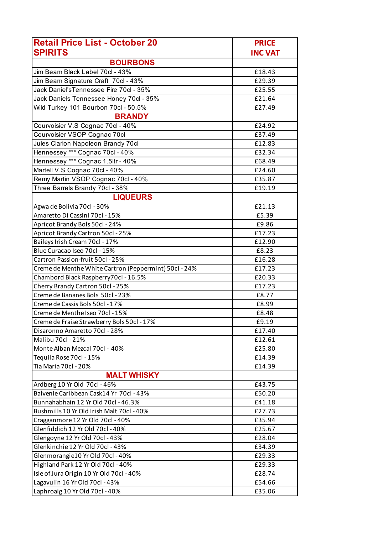| <b>Retail Price List - October 20</b>                 | <b>PRICE</b>   |
|-------------------------------------------------------|----------------|
| <b>SPIRITS</b>                                        | <b>INC VAT</b> |
| <b>BOURBONS</b>                                       |                |
| Jim Beam Black Label 70cl - 43%                       | £18.43         |
| Jim Beam Signature Craft 70cl - 43%                   | £29.39         |
| Jack Daniel's Tennessee Fire 70cl - 35%               | £25.55         |
| Jack Daniels Tennessee Honey 70cl - 35%               | £21.64         |
| Wild Turkey 101 Bourbon 70cl - 50.5%                  | £27.49         |
| <b>BRANDY</b>                                         |                |
| Courvoisier V.S Cognac 70cl - 40%                     | £24.92         |
| Courvoisier VSOP Cognac 70cl                          | £37.49         |
| Jules Clarion Napoleon Brandy 70cl                    | £12.83         |
| Hennessey *** Cognac 70cl - 40%                       | £32.34         |
| Hennessey *** Cognac 1.5ltr - 40%                     | £68.49         |
| Martell V.S Cognac 70cl - 40%                         | £24.60         |
| Remy Martin VSOP Cognac 70cl - 40%                    | £35.87         |
| Three Barrels Brandy 70cl - 38%                       | £19.19         |
| <b>LIQUEURS</b>                                       |                |
| Agwa de Bolivia 70cl - 30%                            | £21.13         |
| Amaretto Di Cassini 70cl - 15%                        | £5.39          |
| Apricot Brandy Bols 50cl - 24%                        | £9.86          |
| Apricot Brandy Cartron 50cl - 25%                     | £17.23         |
| Baileys Irish Cream 70cl - 17%                        | £12.90         |
| Blue Curacao Iseo 70cl - 15%                          | £8.23          |
| Cartron Passion-fruit 50cl - 25%                      | £16.28         |
| Creme de Menthe White Cartron (Peppermint) 50cl - 24% | £17.23         |
| Chambord Black Raspberry70cl - 16.5%                  | £20.33         |
| Cherry Brandy Cartron 50cl - 25%                      | £17.23         |
| Creme de Bananes Bols 50cl - 23%                      | £8.77          |
| Creme de Cassis Bols 50cl - 17%                       | £8.99          |
| Creme de Menthe Iseo 70cl - 15%                       | £8.48          |
| Creme de Fraise Strawberry Bols 50cl - 17%            | £9.19          |
| Disaronno Amaretto 70cl - 28%                         | £17.40         |
| Malibu 70cl - 21%                                     | £12.61         |
| Monte Alban Mezcal 70cl - 40%                         | £25.80         |
| Tequila Rose 70cl - 15%                               | £14.39         |
| Tia Maria 70cl - 20%                                  | £14.39         |
| <b>MALT WHISKY</b>                                    |                |
| Ardberg 10 Yr Old 70cl - 46%                          | £43.75         |
| Balvenie Caribbean Cask14 Yr 70cl - 43%               | £50.20         |
| Bunnahabhain 12 Yr Old 70cl - 46.3%                   | £41.18         |
| Bushmills 10 Yr Old Irish Malt 70cl - 40%             | £27.73         |
| Cragganmore 12 Yr Old 70cl - 40%                      | £35.94         |
| Glenfiddich 12 Yr Old 70cl - 40%                      | £25.67         |
| Glengoyne 12 Yr Old 70cl - 43%                        | £28.04         |
| Glenkinchie 12 Yr Old 70cl - 43%                      | £34.39         |
| Glenmorangie10 Yr Old 70cl - 40%                      | £29.33         |
| Highland Park 12 Yr Old 70cl - 40%                    | £29.33         |
| Isle of Jura Origin 10 Yr Old 70cl - 40%              | £28.74         |
| Lagavulin 16 Yr Old 70cl - 43%                        | £54.66         |
| Laphroaig 10 Yr Old 70cl - 40%                        | £35.06         |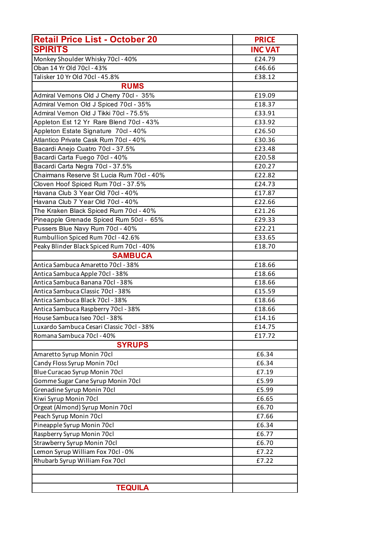| <b>Retail Price List - October 20</b>     | <b>PRICE</b>   |
|-------------------------------------------|----------------|
| <b>SPIRITS</b>                            | <b>INC VAT</b> |
| Monkey Shoulder Whisky 70cl - 40%         | £24.79         |
| Oban 14 Yr Old 70cl - 43%                 | £46.66         |
| Talisker 10 Yr Old 70cl - 45.8%           | £38.12         |
| <b>RUMS</b>                               |                |
| Admiral Vernons Old J Cherry 70cl - 35%   | £19.09         |
| Admiral Vernon Old J Spiced 70cl - 35%    | £18.37         |
| Admiral Vernon Old J Tikki 70cl - 75.5%   | £33.91         |
| Appleton Est 12 Yr Rare Blend 70cl - 43%  | £33.92         |
| Appleton Estate Signature 70cl - 40%      | £26.50         |
| Atlantico Private Cask Rum 70cl - 40%     | £30.36         |
| Bacardi Anejo Cuatro 70cl - 37.5%         | £23.48         |
| Bacardi Carta Fuego 70cl - 40%            | £20.58         |
| Bacardi Carta Negra 70cl - 37.5%          | £20.27         |
| Chairmans Reserve St Lucia Rum 70cl - 40% | £22.82         |
| Cloven Hoof Spiced Rum 70cl - 37.5%       | £24.73         |
| Havana Club 3 Year Old 70cl - 40%         | £17.87         |
| Havana Club 7 Year Old 70cl - 40%         | £22.66         |
| The Kraken Black Spiced Rum 70cl - 40%    | £21.26         |
| Pineapple Grenade Spiced Rum 50cl - 65%   | £29.33         |
| Pussers Blue Navy Rum 70cl - 40%          | £22.21         |
| Rumbullion Spiced Rum 70cl - 42.6%        | £33.65         |
| Peaky Blinder Black Spiced Rum 70cl - 40% | £18.70         |
| <b>SAMBUCA</b>                            |                |
| Antica Sambuca Amaretto 70cl - 38%        | £18.66         |
| Antica Sambuca Apple 70cl - 38%           | £18.66         |
| Antica Sambuca Banana 70cl - 38%          | £18.66         |
| Antica Sambuca Classic 70cl - 38%         | £15.59         |
| Antica Sambuca Black 70cl - 38%           | £18.66         |
| Antica Sambuca Raspberry 70cl - 38%       | £18.66         |
| House Sambuca Iseo 70cl - 38%             | £14.16         |
| Luxardo Sambuca Cesari Classic 70cl - 38% | £14.75         |
| Romana Sambuca 70cl - 40%                 | £17.72         |
| <b>SYRUPS</b>                             |                |
| Amaretto Syrup Monin 70cl                 | £6.34          |
| Candy Floss Syrup Monin 70cl              | £6.34          |
| Blue Curacao Syrup Monin 70cl             | £7.19          |
| Gomme Sugar Cane Syrup Monin 70cl         | £5.99          |
| Grenadine Syrup Monin 70cl                | £5.99          |
| Kiwi Syrup Monin 70cl                     | £6.65          |
| Orgeat (Almond) Syrup Monin 70cl          | £6.70          |
| Peach Syrup Monin 70cl                    | £7.66          |
| Pineapple Syrup Monin 70cl                | £6.34          |
| Raspberry Syrup Monin 70cl                | £6.77          |
| Strawberry Syrup Monin 70cl               | £6.70          |
| Lemon Syrup William Fox 70cl - 0%         | £7.22          |
| Rhubarb Syrup William Fox 70cl            | £7.22          |
|                                           |                |
|                                           |                |
|                                           |                |
| <b>TEQUILA</b>                            |                |